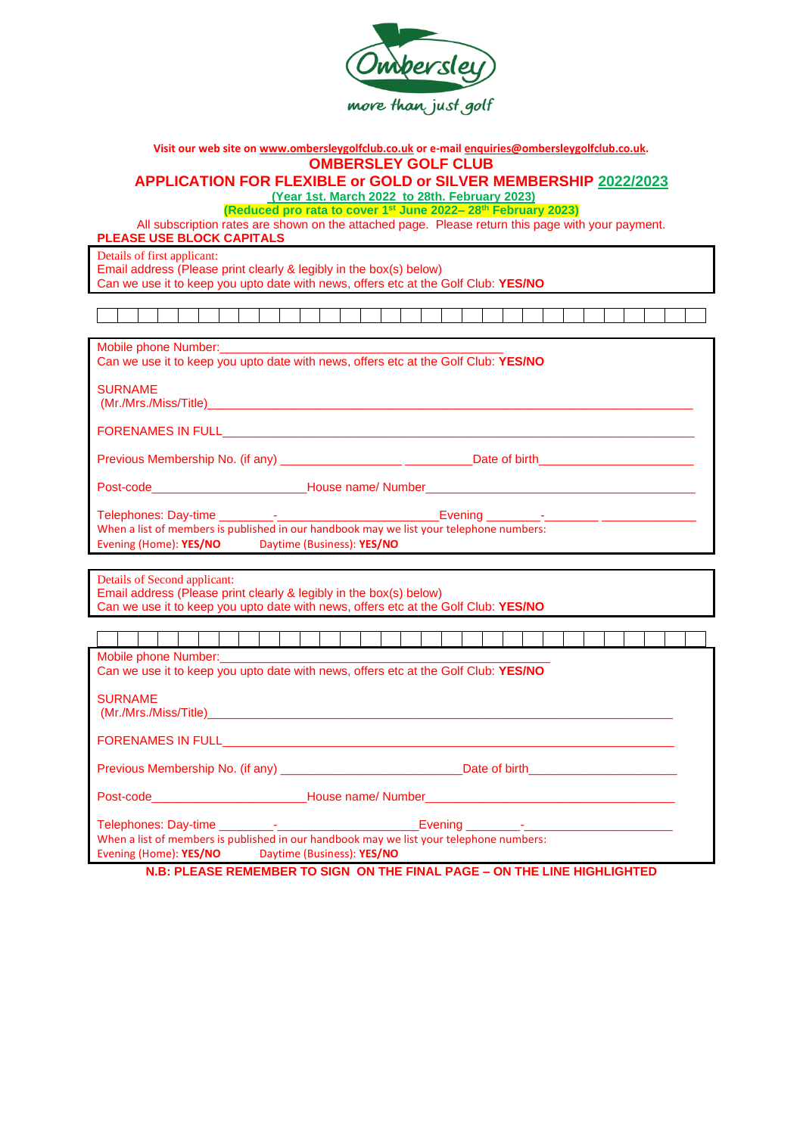

| Visit our web site on www.ombersleygolfclub.co.uk or e-mail enquiries@ombersleygolfclub.co.uk.                                                           |  |  |  |  |  |  |
|----------------------------------------------------------------------------------------------------------------------------------------------------------|--|--|--|--|--|--|
| <b>OMBERSLEY GOLF CLUB</b>                                                                                                                               |  |  |  |  |  |  |
| APPLICATION FOR FLEXIBLE or GOLD or SILVER MEMBERSHIP 2022/2023<br>(Year 1st. March 2022 to 28th. February 2023)                                         |  |  |  |  |  |  |
| (Reduced pro rata to cover 1 <sup>st</sup> June 2022-28 <sup>th</sup> February 2023)                                                                     |  |  |  |  |  |  |
| All subscription rates are shown on the attached page. Please return this page with your payment.                                                        |  |  |  |  |  |  |
| PLEASE USE BLOCK CAPITALS                                                                                                                                |  |  |  |  |  |  |
| Details of first applicant:                                                                                                                              |  |  |  |  |  |  |
| Email address (Please print clearly & legibly in the box(s) below)<br>Can we use it to keep you upto date with news, offers etc at the Golf Club: YES/NO |  |  |  |  |  |  |
|                                                                                                                                                          |  |  |  |  |  |  |
|                                                                                                                                                          |  |  |  |  |  |  |
| Mobile phone Number: Management and Mobile phone Number:                                                                                                 |  |  |  |  |  |  |
| Can we use it to keep you upto date with news, offers etc at the Golf Club: YES/NO                                                                       |  |  |  |  |  |  |
| <b>SURNAME</b>                                                                                                                                           |  |  |  |  |  |  |
|                                                                                                                                                          |  |  |  |  |  |  |
|                                                                                                                                                          |  |  |  |  |  |  |
|                                                                                                                                                          |  |  |  |  |  |  |
| Previous Membership No. (if any) _________________________________Date of birth_______________________________                                           |  |  |  |  |  |  |
|                                                                                                                                                          |  |  |  |  |  |  |
|                                                                                                                                                          |  |  |  |  |  |  |
| When a list of members is published in our handbook may we list your telephone numbers:                                                                  |  |  |  |  |  |  |
| Evening (Home): YES/NO Daytime (Business): YES/NO                                                                                                        |  |  |  |  |  |  |
|                                                                                                                                                          |  |  |  |  |  |  |
| Details of Second applicant:                                                                                                                             |  |  |  |  |  |  |
| Email address (Please print clearly & legibly in the box(s) below)<br>Can we use it to keep you upto date with news, offers etc at the Golf Club: YES/NO |  |  |  |  |  |  |
|                                                                                                                                                          |  |  |  |  |  |  |
|                                                                                                                                                          |  |  |  |  |  |  |
|                                                                                                                                                          |  |  |  |  |  |  |
| Can we use it to keep you upto date with news, offers etc at the Golf Club: YES/NO                                                                       |  |  |  |  |  |  |
| <b>SURNAME</b>                                                                                                                                           |  |  |  |  |  |  |
|                                                                                                                                                          |  |  |  |  |  |  |
|                                                                                                                                                          |  |  |  |  |  |  |
| <b>FORENAMES IN FULL</b>                                                                                                                                 |  |  |  |  |  |  |
|                                                                                                                                                          |  |  |  |  |  |  |
| Post-code _________________________House name/ Number____________________________                                                                        |  |  |  |  |  |  |
|                                                                                                                                                          |  |  |  |  |  |  |
| When a list of members is published in our handbook may we list your telephone numbers:                                                                  |  |  |  |  |  |  |
| Evening (Home): YES/NO<br>Daytime (Business): YES/NO                                                                                                     |  |  |  |  |  |  |

**N.B: PLEASE REMEMBER TO SIGN ON THE FINAL PAGE – ON THE LINE HIGHLIGHTED**